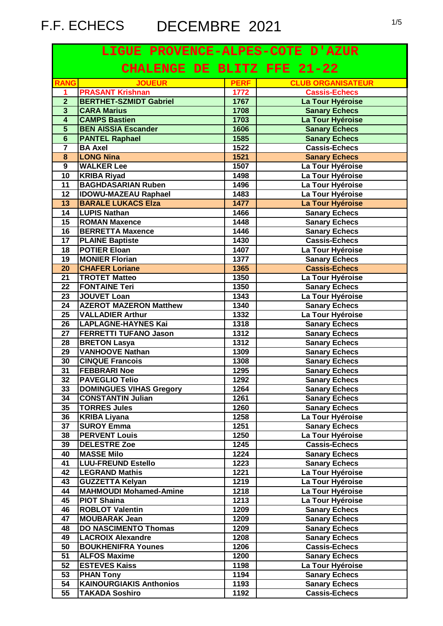| LIGUE PROVENCE-ALPES-COTE D'AZUR   |                                |             |                          |
|------------------------------------|--------------------------------|-------------|--------------------------|
| <b>CHALENGE DE BLITZ FFE 21-22</b> |                                |             |                          |
| <b>RANG</b>                        | <b>JOUEUR</b>                  | <b>PERF</b> | <b>CLUB ORGANISATEUR</b> |
| 1                                  | <b>PRASANT Krishnan</b>        | 1772        | <b>Cassis-Echecs</b>     |
| $\overline{2}$                     | <b>BERTHET-SZMIDT Gabriel</b>  | 1767        | La Tour Hyéroise         |
| $\overline{\mathbf{3}}$            | <b>CARA Marius</b>             | 1708        | <b>Sanary Echecs</b>     |
| $\overline{\mathbf{4}}$            | <b>CAMPS Bastien</b>           | 1703        | La Tour Hyéroise         |
| $\overline{\mathbf{5}}$            | <b>BEN AISSIA Escander</b>     | 1606        | <b>Sanary Echecs</b>     |
| $\overline{6}$                     | <b>PANTEL Raphael</b>          | 1585        | <b>Sanary Echecs</b>     |
| $\overline{7}$                     | <b>BA</b> Axel                 | 1522        | <b>Cassis-Echecs</b>     |
| 8                                  | <b>LONG Nina</b>               | 1521        | <b>Sanary Echecs</b>     |
| $\overline{9}$                     | <b>WALKER Lee</b>              | 1507        | La Tour Hyéroise         |
| 10                                 | <b>KRIBA Riyad</b>             | 1498        | La Tour Hyéroise         |
| 11                                 | <b>BAGHDASARIAN Ruben</b>      | 1496        | La Tour Hyéroise         |
| 12                                 | <b>IDOWU-MAZEAU Raphael</b>    | 1483        | La Tour Hyéroise         |
| 13                                 | <b>BARALE LUKACS Elza</b>      | 1477        | La Tour Hyéroise         |
| 14                                 | <b>LUPIS Nathan</b>            | 1466        | <b>Sanary Echecs</b>     |
| 15                                 | <b>ROMAN Maxence</b>           | 1448        | <b>Sanary Echecs</b>     |
| 16                                 | <b>BERRETTA Maxence</b>        | 1446        | <b>Sanary Echecs</b>     |
| 17                                 | <b>PLAINE Baptiste</b>         | 1430        | <b>Cassis-Echecs</b>     |
| 18                                 | <b>POTIER Eloan</b>            | 1407        | La Tour Hyéroise         |
| 19                                 | <b>MONIER Florian</b>          | 1377        | <b>Sanary Echecs</b>     |
| 20                                 | <b>CHAFER Loriane</b>          | 1365        | <b>Cassis-Echecs</b>     |
| 21                                 | <b>TROTET Matteo</b>           | 1350        | La Tour Hyéroise         |
| 22                                 | <b>FONTAINE Teri</b>           | 1350        | <b>Sanary Echecs</b>     |
| 23                                 | <b>JOUVET Loan</b>             | 1343        | La Tour Hyéroise         |
| 24                                 | <b>AZEROT MAZERON Matthew</b>  | 1340        | <b>Sanary Echecs</b>     |
| 25                                 | <b>VALLADIER Arthur</b>        | 1332        | La Tour Hyéroise         |
| 26                                 | LAPLAGNE-HAYNES Kai            | 1318        | <b>Sanary Echecs</b>     |
| 27                                 | <b>FERRETTI TUFANO Jason</b>   | 1312        | <b>Sanary Echecs</b>     |
| 28                                 | <b>BRETON Lasya</b>            | 1312        | <b>Sanary Echecs</b>     |
| 29                                 | <b>VANHOOVE Nathan</b>         | 1309        | <b>Sanary Echecs</b>     |
| 30                                 | <b>CINQUE Francois</b>         | 1308        | <b>Sanary Echecs</b>     |
| 31                                 | <b>FEBBRARI Noe</b>            | 1295        | <b>Sanary Echecs</b>     |
| 32                                 | <b>PAVEGLIO Telio</b>          | 1292        | <b>Sanary Echecs</b>     |
| 33                                 | <b>DOMINGUES VIHAS Gregory</b> | 1264        | <b>Sanary Echecs</b>     |
| 34                                 | <b>CONSTANTIN Julian</b>       | 1261        | <b>Sanary Echecs</b>     |
| 35                                 | <b>TORRES Jules</b>            | 1260        | <b>Sanary Echecs</b>     |
| 36                                 | <b>KRIBA Liyana</b>            | 1258        | La Tour Hyéroise         |
| 37                                 | <b>SUROY Emma</b>              | 1251        | <b>Sanary Echecs</b>     |
| 38                                 | <b>PERVENT Louis</b>           | $1250$      | La Tour Hyéroise         |
| 39                                 | <b>DELESTRE Zoe</b>            | 1245        | <b>Cassis-Echecs</b>     |
| 40                                 | <b>MASSE Milo</b>              | 1224        | <b>Sanary Echecs</b>     |
| 41                                 | <b>LUU-FREUND Estello</b>      | 1223        | <b>Sanary Echecs</b>     |
| 42                                 | <b>LEGRAND Mathis</b>          | 1221        | La Tour Hyéroise         |
| 43                                 | <b>GUZZETTA Kelyan</b>         | 1219        | La Tour Hyéroise         |
| 44                                 | <b>MAHMOUDI Mohamed-Amine</b>  | 1218        | La Tour Hyéroise         |
| 45                                 | <b>PIOT Shaina</b>             | 1213        | La Tour Hyéroise         |
| 46                                 | <b>ROBLOT Valentin</b>         | 1209        | <b>Sanary Echecs</b>     |
| 47                                 | <b>MOUBARAK Jean</b>           | 1209        | <b>Sanary Echecs</b>     |
| 48                                 | <b>DO NASCIMENTO Thomas</b>    | 1209        | <b>Sanary Echecs</b>     |
| 49                                 | <b>LACROIX Alexandre</b>       | 1208        | <b>Sanary Echecs</b>     |
| 50                                 | <b>BOUKHENIFRA Younes</b>      | 1206        | <b>Cassis-Echecs</b>     |
| 51                                 | <b>ALFOS Maxime</b>            | 1200        | <b>Sanary Echecs</b>     |
| 52                                 | <b>ESTEVES Kaiss</b>           | 1198        | La Tour Hyéroise         |
| 53                                 | <b>PHAN Tony</b>               | 1194        | <b>Sanary Echecs</b>     |
| 54                                 | <b>KAINOURGIAKIS Anthonios</b> | 1193        | <b>Sanary Echecs</b>     |
| 55                                 | <b>TAKADA Soshiro</b>          | 1192        | <b>Cassis-Echecs</b>     |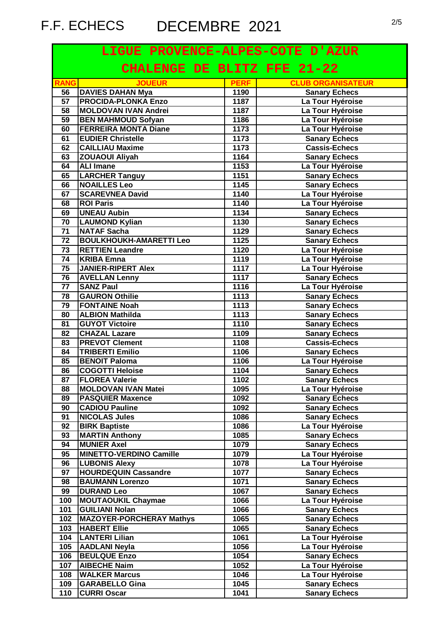| LIGUE PROVENCE-ALPES-COTE D'AZUR |                                    |              |                          |
|----------------------------------|------------------------------------|--------------|--------------------------|
|                                  | <b>CHALENGE DE BLITZ FFE 21-22</b> |              |                          |
| <b>RANG</b>                      | <b>JOUEUR</b>                      | <b>PERF</b>  | <b>CLUB ORGANISATEUR</b> |
| 56                               | <b>DAVIES DAHAN Mya</b>            | 1190         | <b>Sanary Echecs</b>     |
| $\overline{57}$                  | <b>PROCIDA-PLONKA Enzo</b>         | 1187         | La Tour Hyéroise         |
| 58                               | <b>MOLDOVAN IVAN Andrei</b>        | 1187         | La Tour Hyéroise         |
| 59                               | <b>BEN MAHMOUD Sofyan</b>          | 1186         | La Tour Hyéroise         |
| 60                               | <b>FERREIRA MONTA Diane</b>        | 1173         | La Tour Hyéroise         |
| 61                               | <b>EUDIER Christelle</b>           | 1173         | <b>Sanary Echecs</b>     |
| 62                               | <b>CAILLIAU Maxime</b>             | 1173         | <b>Cassis-Echecs</b>     |
| 63                               | <b>ZOUAOUI Aliyah</b>              | 1164         | <b>Sanary Echecs</b>     |
| 64                               | <b>ALI Imane</b>                   | 1153         | La Tour Hyéroise         |
| 65                               | <b>LARCHER Tanguy</b>              | 1151         | <b>Sanary Echecs</b>     |
| 66                               | <b>NOAILLES Leo</b>                | 1145         | <b>Sanary Echecs</b>     |
| 67                               | <b>SCAREVNEA David</b>             | 1140         | La Tour Hyéroise         |
| 68                               | <b>ROI Paris</b>                   | 1140         | La Tour Hyéroise         |
| 69                               | <b>UNEAU Aubin</b>                 | 1134         | <b>Sanary Echecs</b>     |
| 70                               | <b>LAUMOND Kylian</b>              | 1130         | <b>Sanary Echecs</b>     |
| $\overline{71}$                  | <b>NATAF Sacha</b>                 | 1129         | <b>Sanary Echecs</b>     |
| $\overline{72}$                  | <b>BOULKHOUKH-AMARETTI Leo</b>     | 1125         | <b>Sanary Echecs</b>     |
| 73                               | <b>RETTIEN Leandre</b>             | 1120         | La Tour Hyéroise         |
| 74                               | <b>KRIBA Emna</b>                  | 1119         | La Tour Hyéroise         |
| 75                               | <b>JANIER-RIPERT Alex</b>          | 1117         | La Tour Hyéroise         |
| $\overline{76}$                  | <b>AVELLAN Lenny</b>               | 1117         | <b>Sanary Echecs</b>     |
| 77                               | <b>SANZ Paul</b>                   | 1116         | La Tour Hyéroise         |
| 78                               | <b>GAURON Othilie</b>              | 1113         | <b>Sanary Echecs</b>     |
| 79                               | <b>FONTAINE Noah</b>               | 1113         | <b>Sanary Echecs</b>     |
| 80                               | <b>ALBION Mathilda</b>             | 1113         | <b>Sanary Echecs</b>     |
| 81                               | <b>GUYOT Victoire</b>              | 1110         | <b>Sanary Echecs</b>     |
| 82                               | <b>CHAZAL Lazare</b>               | 1109         | <b>Sanary Echecs</b>     |
| 83                               | <b>PREVOT Clement</b>              | 1108         | <b>Cassis-Echecs</b>     |
| 84                               | <b>TRIBERTI Emilio</b>             | 1106         | <b>Sanary Echecs</b>     |
| 85                               | <b>BENOIT Paloma</b>               | 1106         | La Tour Hyéroise         |
| 86                               | <b>COGOTTI Heloise</b>             | 1104         | <b>Sanary Echecs</b>     |
| $\overline{87}$                  | <b>FLOREA Valerie</b>              | 1102         | <b>Sanary Echecs</b>     |
| 88                               | <b>MOLDOVAN IVAN Matei</b>         | 1095         | La Tour Hyéroise         |
| 89                               | <b>PASQUIER Maxence</b>            | 1092         | <b>Sanary Echecs</b>     |
| 90                               | <b>CADIOU Pauline</b>              | 1092         | <b>Sanary Echecs</b>     |
| 91                               | <b>NICOLAS Jules</b>               | 1086         | <b>Sanary Echecs</b>     |
| 92                               | <b>BIRK Baptiste</b>               | 1086         | La Tour Hyéroise         |
| 93                               | <b>MARTIN Anthony</b>              | 1085         | <b>Sanary Echecs</b>     |
| 94                               | <b>MUNIER Axel</b>                 | 1079         | <b>Sanary Echecs</b>     |
| 95                               | <b>MINETTO-VERDINO Camille</b>     | 1079         | La Tour Hyéroise         |
| 96                               | <b>LUBONIS Alexy</b>               | 1078         | La Tour Hyéroise         |
| 97                               | <b>HOURDEQUIN Cassandre</b>        | 1077         | <b>Sanary Echecs</b>     |
| 98                               | <b>BAUMANN Lorenzo</b>             | 1071         | <b>Sanary Echecs</b>     |
| 99                               | <b>DURAND Leo</b>                  | 1067         | <b>Sanary Echecs</b>     |
| 100                              | <b>MOUTAOUKIL Chaymae</b>          | 1066         | La Tour Hyéroise         |
| 101                              | <b>GUILIANI Nolan</b>              | 1066         | <b>Sanary Echecs</b>     |
| 102                              | <b>MAZOYER-PORCHERAY Mathys</b>    | 1065         | <b>Sanary Echecs</b>     |
| 103                              | <b>HABERT Ellie</b>                | 1065         | <b>Sanary Echecs</b>     |
| 104                              | <b>LANTERI Lilian</b>              | 1061         | La Tour Hyéroise         |
| 105                              | <b>AADLANI Neyla</b>               | 1056         | La Tour Hyéroise         |
| 106                              | <b>BEULQUE Enzo</b>                | 1054         | <b>Sanary Echecs</b>     |
|                                  |                                    |              |                          |
| 107<br>108                       | <b>AIBECHE Naim</b>                | 1052<br>1046 | La Tour Hyéroise         |
|                                  | <b>WALKER Marcus</b>               |              | La Tour Hyéroise         |
| 109                              | <b>GARABELLO Gina</b>              | 1045         | <b>Sanary Echecs</b>     |
| 110                              | <b>CURRI Oscar</b>                 | 1041         | <b>Sanary Echecs</b>     |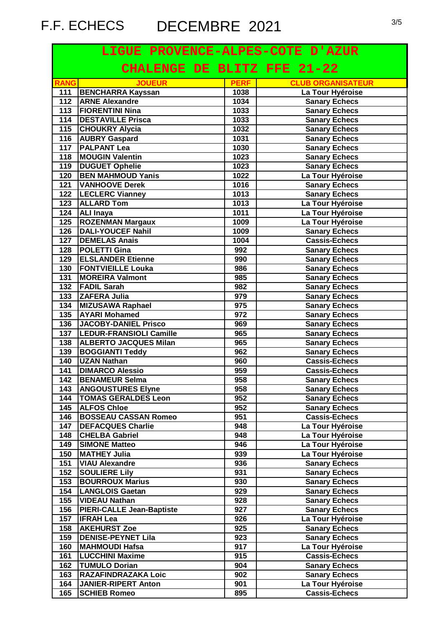| LIGUE PROVENCE-ALPES-COTE D'AZUR |                                    |             |                          |
|----------------------------------|------------------------------------|-------------|--------------------------|
|                                  | <b>CHALENGE DE BLITZ FFE 21-22</b> |             |                          |
| <b>RANG</b>                      | <b>JOUEUR</b>                      | <b>PERF</b> | <b>CLUB ORGANISATEUR</b> |
| 111                              | <b>BENCHARRA Kayssan</b>           | 1038        | La Tour Hyéroise         |
| 112                              | <b>ARNE Alexandre</b>              | 1034        | <b>Sanary Echecs</b>     |
| 113                              | <b>FIORENTINI Nina</b>             | 1033        | <b>Sanary Echecs</b>     |
| 114                              | <b>DESTAVILLE Prisca</b>           | 1033        | <b>Sanary Echecs</b>     |
| 115                              | <b>CHOUKRY Alycia</b>              | 1032        | <b>Sanary Echecs</b>     |
| 116                              | <b>AUBRY Gaspard</b>               | 1031        | <b>Sanary Echecs</b>     |
| 117                              | <b>PALPANT Lea</b>                 | 1030        | <b>Sanary Echecs</b>     |
| 118                              | <b>MOUGIN Valentin</b>             | 1023        | <b>Sanary Echecs</b>     |
| 119                              | <b>DUGUET Ophelie</b>              | 1023        | <b>Sanary Echecs</b>     |
| 120                              | <b>BEN MAHMOUD Yanis</b>           | 1022        | La Tour Hyéroise         |
| 121                              | <b>VANHOOVE Derek</b>              | 1016        | <b>Sanary Echecs</b>     |
| 122                              | <b>LECLERC Vianney</b>             | 1013        | <b>Sanary Echecs</b>     |
| $\overline{123}$                 | <b>ALLARD Tom</b>                  | 1013        | La Tour Hyéroise         |
| 124                              | <b>ALI Inaya</b>                   | 1011        | La Tour Hyéroise         |
| 125                              | <b>ROZENMAN Margaux</b>            | 1009        | La Tour Hyéroise         |
| 126                              | <b>DALI-YOUCEF Nahil</b>           | 1009        | <b>Sanary Echecs</b>     |
| 127                              | <b>DEMELAS Anais</b>               | 1004        | <b>Cassis-Echecs</b>     |
| 128                              | <b>POLETTI Gina</b>                | 992         | <b>Sanary Echecs</b>     |
| 129                              | <b>ELSLANDER Etienne</b>           | 990         | <b>Sanary Echecs</b>     |
| 130                              | <b>FONTVIEILLE Louka</b>           | 986         | <b>Sanary Echecs</b>     |
| 131                              | <b>MOREIRA Valmont</b>             | 985         | <b>Sanary Echecs</b>     |
| 132                              | <b>FADIL Sarah</b>                 | 982         | <b>Sanary Echecs</b>     |
| 133                              | ZAFERA Julia                       | 979         | <b>Sanary Echecs</b>     |
| 134                              | <b>MIZUSAWA Raphael</b>            | 975         | <b>Sanary Echecs</b>     |
| $\overline{135}$                 | <b>AYARI Mohamed</b>               | 972         | <b>Sanary Echecs</b>     |
| 136                              | JACOBY-DANIEL Prisco               | 969         | <b>Sanary Echecs</b>     |
| 137                              | <b>LEDUR-FRANSIOLI Camille</b>     | 965         | <b>Sanary Echecs</b>     |
| 138                              | <b>ALBERTO JACQUES Milan</b>       | 965         | <b>Sanary Echecs</b>     |
| 139                              | <b>BOGGIANTI Teddy</b>             | 962         | <b>Sanary Echecs</b>     |
| 140                              | <b>UZAN Nathan</b>                 | 960         | <b>Cassis-Echecs</b>     |
| 141                              | <b>DIMARCO Alessio</b>             | 959         | <b>Cassis-Echecs</b>     |
| 142                              | <b>BENAMEUR Selma</b>              | 958         | <b>Sanary Echecs</b>     |
| 143                              | <b>ANGOUSTURES Elyne</b>           | 958         | <b>Sanary Echecs</b>     |
| 144                              | <b>TOMAS GERALDES Leon</b>         | 952         | <b>Sanary Echecs</b>     |
| 145                              | <b>ALFOS Chloe</b>                 | 952         | <b>Sanary Echecs</b>     |
| 146                              | <b>BOSSEAU CASSAN Romeo</b>        | 951         | <b>Cassis-Echecs</b>     |
| 147                              | <b>DEFACQUES Charlie</b>           | 948         | La Tour Hyéroise         |
| 148                              | <b>CHELBA Gabriel</b>              | 948         | La Tour Hyéroise         |
| 149                              | <b>SIMONE Matteo</b>               | 946         | La Tour Hyéroise         |
| 150                              | <b>MATHEY Julia</b>                | 939         | La Tour Hyéroise         |
| 151                              | <b>VIAU Alexandre</b>              | 936         | <b>Sanary Echecs</b>     |
| 152                              | <b>SOULIERE Lily</b>               | 931         | <b>Sanary Echecs</b>     |
| 153                              | <b>BOURROUX Marius</b>             | 930         | <b>Sanary Echecs</b>     |
| 154                              | <b>LANGLOIS Gaetan</b>             | 929         | <b>Sanary Echecs</b>     |
| 155                              | <b>VIDEAU Nathan</b>               | 928         | <b>Sanary Echecs</b>     |
| 156                              | <b>PIERI-CALLE Jean-Baptiste</b>   | 927         | <b>Sanary Echecs</b>     |
| 157                              | <b>IFRAH Lea</b>                   | 926         | La Tour Hyéroise         |
| 158                              | <b>AKEHURST Zoe</b>                | 925         | <b>Sanary Echecs</b>     |
| 159                              | <b>DENISE-PEYNET Lila</b>          | 923         | <b>Sanary Echecs</b>     |
| 160                              | <b>MAHMOUDI Hafsa</b>              | 917         | La Tour Hyéroise         |
| 161                              | <b>LUCCHINI Maxime</b>             | 915         | <b>Cassis-Echecs</b>     |
| 162                              | <b>TUMULO Dorian</b>               | 904         | <b>Sanary Echecs</b>     |
| 163                              | <b>RAZAFINDRAZAKA Loic</b>         | 902         | <b>Sanary Echecs</b>     |
| 164                              | <b>JANIER-RIPERT Anton</b>         | 901         | La Tour Hyéroise         |
| 165                              | <b>SCHIEB Romeo</b>                | 895         | <b>Cassis-Echecs</b>     |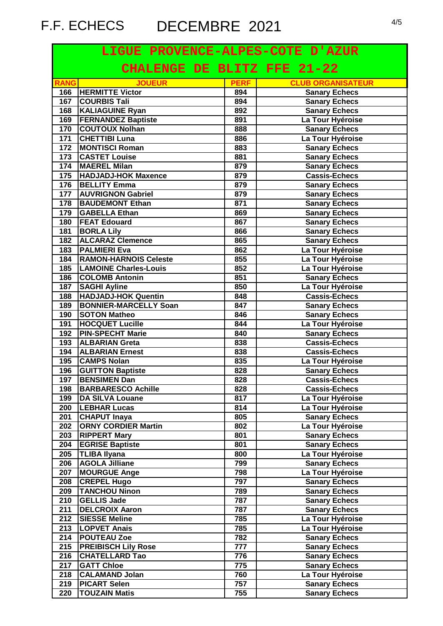| LIGUE PROVENCE-ALPES-COTE D'AZUR |                                    |             |                          |
|----------------------------------|------------------------------------|-------------|--------------------------|
|                                  | <b>CHALENGE DE BLITZ FFE 21-22</b> |             |                          |
| <b>RANG</b>                      | <b>JOUEUR</b>                      | <b>PERF</b> | <b>CLUB ORGANISATEUR</b> |
| 166                              | <b>HERMITTE Victor</b>             | 894         | <b>Sanary Echecs</b>     |
| 167                              | <b>COURBIS Tali</b>                | 894         | <b>Sanary Echecs</b>     |
| 168                              | <b>KALIAGUINE Ryan</b>             | 892         | <b>Sanary Echecs</b>     |
| 169                              | <b>FERNANDEZ Baptiste</b>          | 891         | La Tour Hyéroise         |
| 170                              | <b>COUTOUX Nolhan</b>              | 888         | <b>Sanary Echecs</b>     |
| 171                              | <b>CHETTIBI Luna</b>               | 886         | La Tour Hyéroise         |
| 172                              | <b>MONTISCI Roman</b>              | 883         | <b>Sanary Echecs</b>     |
| 173                              | <b>CASTET Louise</b>               | 881         | <b>Sanary Echecs</b>     |
| 174                              | <b>MAEREL Milan</b>                | 879         | <b>Sanary Echecs</b>     |
| 175                              | <b>HADJADJ-HOK Maxence</b>         | 879         | Cassis-Echecs            |
| 176                              | <b>BELLITY Emma</b>                | 879         | <b>Sanary Echecs</b>     |
| 177                              | <b>AUVRIGNON Gabriel</b>           | 879         | <b>Sanary Echecs</b>     |
| 178                              | <b>BAUDEMONT Ethan</b>             | 871         | <b>Sanary Echecs</b>     |
| 179                              | <b>GABELLA Ethan</b>               | 869         | <b>Sanary Echecs</b>     |
| 180                              | <b>FEAT Edouard</b>                | 867         | <b>Sanary Echecs</b>     |
| 181                              | <b>BORLA Lily</b>                  | 866         | <b>Sanary Echecs</b>     |
| 182                              | <b>ALCARAZ Clemence</b>            | 865         | <b>Sanary Echecs</b>     |
| 183                              | <b>PALMIERI Eva</b>                | 862         | La Tour Hyéroise         |
| 184                              | <b>RAMON-HARNOIS Celeste</b>       | 855         | La Tour Hyéroise         |
| 185                              | <b>LAMOINE Charles-Louis</b>       | 852         | La Tour Hyéroise         |
| 186                              | <b>COLOMB Antonin</b>              | 851         | <b>Sanary Echecs</b>     |
| 187                              | <b>SAGHI Ayline</b>                | 850         | La Tour Hyéroise         |
| 188                              | <b>HADJADJ-HOK Quentin</b>         | 848         | <b>Cassis-Echecs</b>     |
| 189                              | <b>BONNIER-MARCELLY Soan</b>       | 847         | <b>Sanary Echecs</b>     |
| 190                              | <b>SOTON Matheo</b>                | 846         | <b>Sanary Echecs</b>     |
| 191                              | <b>HOCQUET Lucille</b>             | 844         | La Tour Hyéroise         |
| 192                              | <b>PIN-SPECHT Marie</b>            | 840         | <b>Sanary Echecs</b>     |
| 193                              | <b>ALBARIAN Greta</b>              | 838         | <b>Cassis-Echecs</b>     |
| 194                              | <b>ALBARIAN Ernest</b>             | 838         | <b>Cassis-Echecs</b>     |
| 195                              | <b>CAMPS Nolan</b>                 | 835         | La Tour Hyéroise         |
| 196                              | <b>GUITTON Baptiste</b>            | 828         | <b>Sanary Echecs</b>     |
|                                  | 197 BENSIMEN Dan                   | 828         | <b>Cassis-Echecs</b>     |
| 198                              | <b>BARBARESCO Achille</b>          | 828         | <b>Cassis-Echecs</b>     |
| 199                              | <b>DA SILVA Louane</b>             | 817         | La Tour Hyéroise         |
| 200                              | <b>LEBHAR Lucas</b>                | 814         | La Tour Hyéroise         |
| 201                              | <b>CHAPUT Inaya</b>                | 805         | <b>Sanary Echecs</b>     |
| 202                              | <b>ORNY CORDIER Martin</b>         | 802         | La Tour Hyéroise         |
| 203                              | <b>RIPPERT Mary</b>                | 801         | <b>Sanary Echecs</b>     |
| 204                              | <b>EGRISE Baptiste</b>             | 801         | <b>Sanary Echecs</b>     |
| 205                              | <b>TLIBA Ilyana</b>                | 800         | La Tour Hyéroise         |
| 206                              | <b>AGOLA Jilliane</b>              | 799         | <b>Sanary Echecs</b>     |
| 207                              | <b>MOURGUE Ange</b>                | 798         | La Tour Hyéroise         |
| 208                              | <b>CREPEL Hugo</b>                 | 797         | <b>Sanary Echecs</b>     |
| 209                              | <b>TANCHOU Ninon</b>               | 789         | <b>Sanary Echecs</b>     |
| 210                              | <b>GELLIS Jade</b>                 | 787         | <b>Sanary Echecs</b>     |
| 211                              | <b>DELCROIX Aaron</b>              | 787         | <b>Sanary Echecs</b>     |
| 212                              | <b>SIESSE Meline</b>               | 785         | La Tour Hyéroise         |
| 213                              | <b>LOPVET Anais</b>                | 785         | La Tour Hyéroise         |
| 214                              | <b>POUTEAU Zoe</b>                 | 782         | <b>Sanary Echecs</b>     |
| 215                              | <b>PREIBISCH Lily Rose</b>         | 777         | <b>Sanary Echecs</b>     |
| 216                              | <b>CHATELLARD Tao</b>              | 776         | <b>Sanary Echecs</b>     |
| 217                              | <b>GATT Chloe</b>                  | 775         | <b>Sanary Echecs</b>     |
| 218                              | <b>CALAMAND Jolan</b>              | 760         | La Tour Hyéroise         |
| 219                              | <b>PICART Selen</b>                | 757         | <b>Sanary Echecs</b>     |
| 220                              | <b>TOUZAIN Matis</b>               | 755         | <b>Sanary Echecs</b>     |
|                                  |                                    |             |                          |